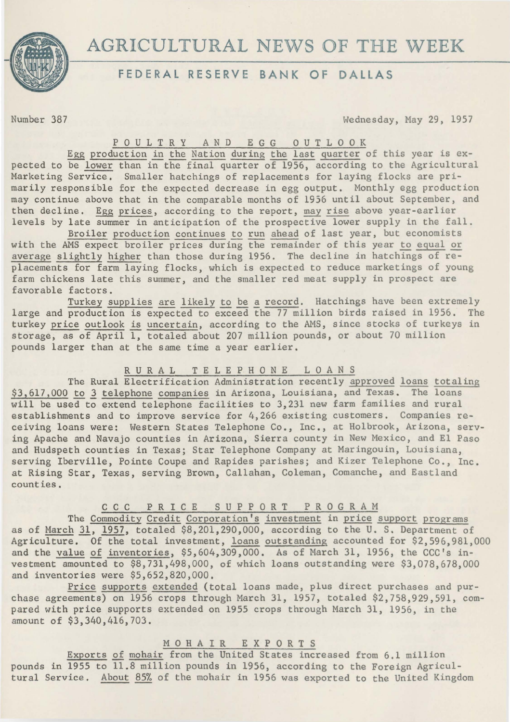

# AGRICULTURAL NEWS OF **THE** WEEK

## **FEDERAL RESERVE BANK OF DALLAS**

Number 387 Wednesday, May 29, 1957

### P 0 U L T R Y AND E G G 0 U T L 0 0 K

Egg production in the Nation during the last quarter of this year is expected to be lower than in the final quarter of 1956, according to the Agricultural Marketing Service. Smaller hatchings of replacements for laying flocks are primarily responsible for the expected decrease in egg output. Monthly egg production may continue above that in the comparable months of 1956 until about September, and then decline. Egg prices, according to the report, may rise above year-earlier levels by late summer in anticipation of the prospective lower supply in the fall.

Broiler production continues to run ahead of last year, but economists with the AMS expect broiler prices during the remainder of this year to equal or average slightly higher than those during 1956. The decline in hatchings of replacements for farm laying flocks, which is expected to reduce marketings of young farm chickens late this summer, and the smaller red meat supply in prospect are favorable factors.

Turkey supplies are likely to be a record. Hatchings have been extremely large and production is expected to exceed the 77 million birds raised in 1956. The turkey price outlook is uncertain, according to the AMS, since stocks of turkeys in storage, as of April 1, totaled about 207 million pounds, or about 70 million pounds larger than at the same time a year earlier.

## R U R A L T E L E P H 0 N E L 0 A N S

The Rural Electrification Administration recently approved loans totaling \$3,617,000 to 1 telephone companies in Arizona, Louisiana, and Texas. The loans will be used to extend telephone facilities to 3,231 new farm families and rural establishments and to improve service for 4,266 existing customers. Companies receiving loans were: Western States Telephone Co., Inc., at Holbrook, Arizona, serving Apache and Navajo counties in Arizona, Sierra county in New Mexico, and El Paso and Hudspeth counties in Texas; Star Telephone Company at Maringouin, Louisiana, serving Iberville, Pointe Coupe and Rapides parishes; and Kizer Telephone Co., Inc. at Rising Star, Texas, serving Brown, Callahan, Coleman, Comanche, and Eastland counties.

### c c c P R IC E S U P P 0 R T PROGRAM

The Commodity Credit Corporation's investment in price support programs as of March 31, 1957, totaled \$8,201,290,000, according to the U. S. Department of Agriculture. Of the total investment, loans outstanding accounted for \$2,596,981,000 and the value of inventories, \$5,604,309,000. As of March 31, 1956, the CCC's investment amounted to \$8,731,498,000, of which loans outstanding were \$3,078,678,000 and inventories were \$5,652,820,000.

Price supports extended (total loans made, plus direct purchases and purchase agreements) on 1956 crops through March 31, 1957, totaled \$2,758,929,591, compared with price supports extended on 1955 crops through March 31, 1956, in the amount of \$3,340,416,703.

## MOHAIR EXPORTS

Exports of mohair from the United States increased from 6.1 million pounds in 1955 to 11.8 million pounds in 1956, according to the Foreign Agricultural Service. About 85% of the mohair in 1956 was exported to the United Kingdom